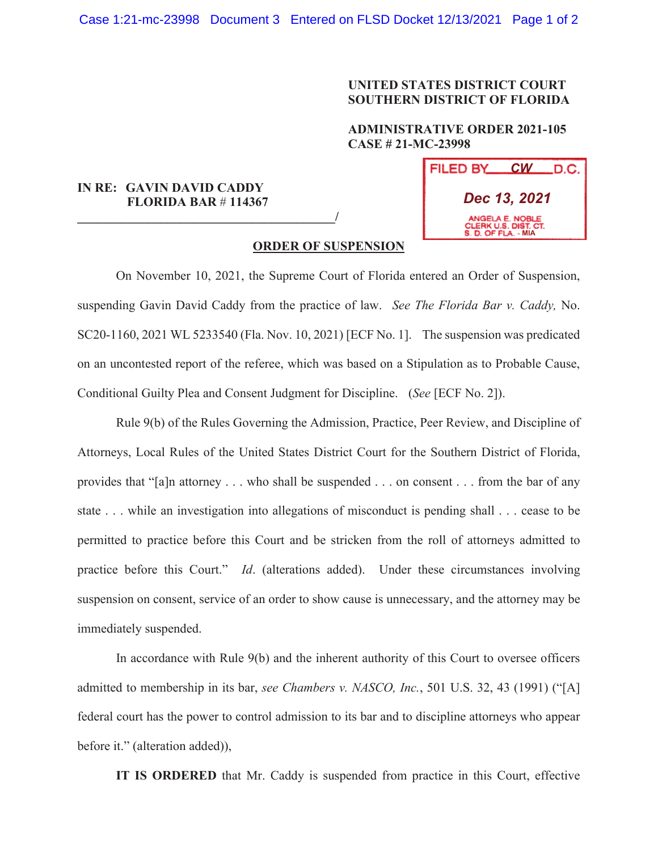## **UNITED STATES DISTRICT COURT SOUTHERN DISTRICT OF FLORIDA**

## **ADMINISTRATIVE ORDER 2021-105 CASE # 21-MC-23998**

## **IN RE: GAVIN DAVID CADDY FLORIDA BAR** # **114367**

**\_\_\_\_\_\_\_\_\_\_\_\_\_\_\_\_\_\_\_\_\_\_\_\_\_\_\_\_\_\_\_\_\_\_\_\_\_\_\_\_/**



## **ORDER OF SUSPENSION**

 On November 10, 2021, the Supreme Court of Florida entered an Order of Suspension, suspending Gavin David Caddy from the practice of law. *See The Florida Bar v. Caddy,* No. SC20-1160, 2021 WL 5233540 (Fla. Nov. 10, 2021) [ECF No. 1]. The suspension was predicated on an uncontested report of the referee, which was based on a Stipulation as to Probable Cause, Conditional Guilty Plea and Consent Judgment for Discipline. (*See* [ECF No. 2]).

Rule 9(b) of the Rules Governing the Admission, Practice, Peer Review, and Discipline of Attorneys, Local Rules of the United States District Court for the Southern District of Florida, provides that "[a]n attorney . . . who shall be suspended . . . on consent . . . from the bar of any state . . . while an investigation into allegations of misconduct is pending shall . . . cease to be permitted to practice before this Court and be stricken from the roll of attorneys admitted to practice before this Court." *Id*. (alterations added). Under these circumstances involving suspension on consent, service of an order to show cause is unnecessary, and the attorney may be immediately suspended.

In accordance with Rule 9(b) and the inherent authority of this Court to oversee officers admitted to membership in its bar, *see Chambers v. NASCO, Inc.*, 501 U.S. 32, 43 (1991) ("[A] federal court has the power to control admission to its bar and to discipline attorneys who appear before it." (alteration added)),

**IT IS ORDERED** that Mr. Caddy is suspended from practice in this Court, effective